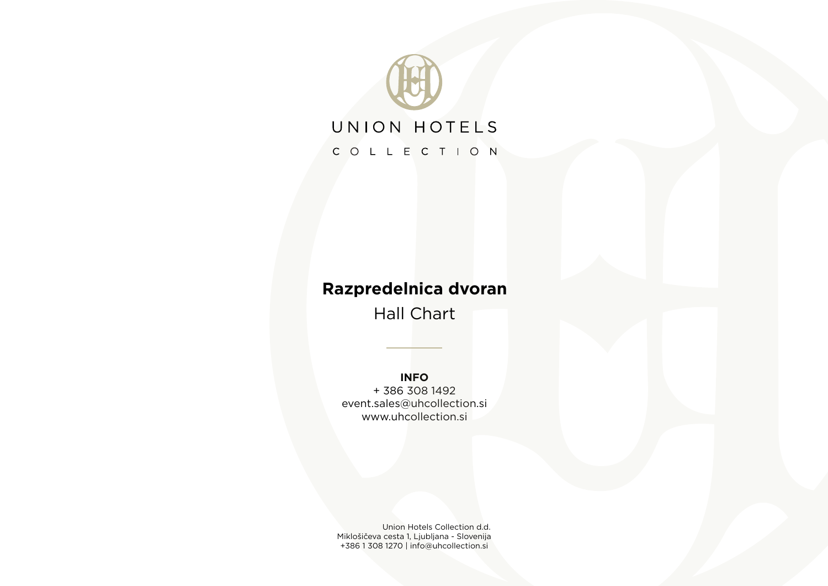

## **Razpredelnica dvoran**

Hall Chart

## **INFO**

+ 386 308 1492 event.sales@uhcollection.si www.uhcollection.si

Union Hotels Collection d.d. Miklošičeva cesta 1, Ljubljana - Slovenija +386 1 308 1270 | info@uhcollection.si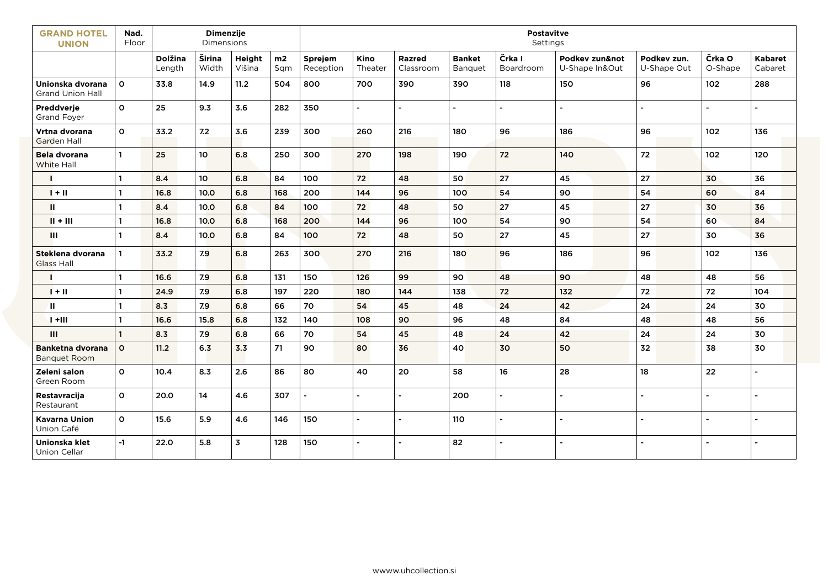| <b>GRAND HOTEL</b><br><b>UNION</b>             | Nad.<br>Floor |                   | Dimenzije<br>Dimensions |                  |           | <b>Postavitve</b><br>Settings |                 |                            |                          |                     |                               |                            |                   |                    |  |
|------------------------------------------------|---------------|-------------------|-------------------------|------------------|-----------|-------------------------------|-----------------|----------------------------|--------------------------|---------------------|-------------------------------|----------------------------|-------------------|--------------------|--|
|                                                |               | Dolžina<br>Length | Širina<br>Width         | Height<br>Višina | m2<br>Sqm | Sprejem<br>Reception          | Kino<br>Theater | <b>Razred</b><br>Classroom | <b>Banket</b><br>Banquet | Črka I<br>Boardroom | Podkey zun¬<br>U-Shape In&Out | Podkey zun.<br>U-Shape Out | Črka O<br>O-Shape | Kabaret<br>Cabaret |  |
| Unionska dvorana<br><b>Grand Union Hall</b>    | $\mathbf{o}$  | 33.8              | 14.9                    | 11.2             | 504       | 800                           | 700             | 390                        | 390                      | 118                 | 150                           | 96                         | 102               | 288                |  |
| Preddverje<br><b>Grand Foyer</b>               | $\mathsf{o}$  | 25                | 9.3                     | 3.6              | 282       | 350                           |                 | $\blacksquare$             | $\blacksquare$           |                     |                               |                            |                   |                    |  |
| Vrtna dvorana<br><b>Garden Hall</b>            | $\mathbf{o}$  | 33.2              | 7.2                     | 3.6              | 239       | 300                           | 260             | 216                        | 180                      | 96                  | 186                           | 96                         | 102               | 136                |  |
| <b>Bela dvorana</b><br>White Hall              | $\mathbf{1}$  | 25                | 10 <sub>o</sub>         | 6.8              | 250       | 300                           | 270             | 198                        | 190                      | 72                  | 140                           | 72                         | 102               | 120                |  |
|                                                | 1             | 8.4               | 10 <sub>o</sub>         | 6.8              | 84        | 100                           | 72              | 48                         | 50                       | 27                  | 45                            | 27                         | 30                | 36                 |  |
| $1 + 11$                                       | 1             | 16.8              | 10.0                    | 6.8              | 168       | 200                           | 144             | 96                         | 100                      | 54                  | 90                            | 54                         | 60                | 84                 |  |
| Ш                                              | $\mathbf{1}$  | 8.4               | 10.0                    | 6.8              | 84        | 100                           | 72              | 48                         | 50                       | 27                  | 45                            | $27\,$                     | 30                | 36                 |  |
| $II + III$                                     | $\mathbf{1}$  | 16.8              | 10.0                    | 6.8              | 168       | 200                           | 144             | 96                         | 100                      | 54                  | 90                            | 54                         | 60                | 84                 |  |
| Ш                                              | $\mathbf{1}$  | 8.4               | 10.0                    | 6.8              | 84        | 100                           | 72              | 48                         | 50                       | 27                  | 45                            | 27                         | 30                | 36                 |  |
| Steklena dvorana<br><b>Glass Hall</b>          |               | 33.2              | 7.9                     | 6.8              | 263       | 300                           | 270             | 216                        | 180                      | 96                  | 186                           | 96                         | 102               | 136                |  |
|                                                | 1             | 16.6              | 7.9                     | 6.8              | 131       | 150                           | 126             | 99                         | 90                       | 48                  | 90                            | 48                         | 48                | 56                 |  |
| $1 + 11$                                       | 1             | 24.9              | 7.9                     | 6.8              | 197       | 220                           | 180             | 144                        | 138                      | 72                  | 132                           | 72                         | 72                | 104                |  |
| Ш.                                             | $\mathbf{1}$  | 8.3               | 7.9                     | 6.8              | 66        | 70                            | 54              | 45                         | 48                       | 24                  | 42                            | 24                         | 24                | 30                 |  |
| $1 + 111$                                      | $\mathbf{1}$  | 16.6              | 15.8                    | 6.8              | 132       | 140                           | 108             | 90                         | 96                       | 48                  | 84                            | 48                         | 48                | 56                 |  |
| Ш                                              | 1             | 8.3               | 7.9                     | 6.8              | 66        | 70                            | 54              | 45                         | 48                       | 24                  | 42                            | 24                         | 24                | 30                 |  |
| <b>Banketna dvorana</b><br><b>Banquet Room</b> | $\mathsf{o}$  | 11.2              | 6.3                     | 3.3              | 71        | 90                            | 80              | 36                         | 40                       | 30                  | 50                            | 32                         | 38                | 30                 |  |
| Zeleni salon<br>Green Room                     | $\mathbf{o}$  | 10.4              | 8.3                     | 2.6              | 86        | 80                            | 40              | 20                         | 58                       | $16\,$              | 28                            | 18                         | 22                | ä,                 |  |
| Restavracija<br>Restaurant                     | $\mathsf{o}$  | 20.0              | 14                      | 4.6              | 307       | ä,                            |                 | ÷.                         | 200                      |                     |                               |                            |                   |                    |  |
| <b>Kavarna Union</b><br>Union Café             | 0             | 15.6              | 5.9                     | 4.6              | 146       | 150                           |                 | ä,                         | 110                      |                     |                               |                            |                   |                    |  |
| Unionska klet<br><b>Union Cellar</b>           | $-1$          | 22.0              | 5.8                     | 3                | 128       | 150                           |                 |                            | 82                       |                     |                               |                            |                   |                    |  |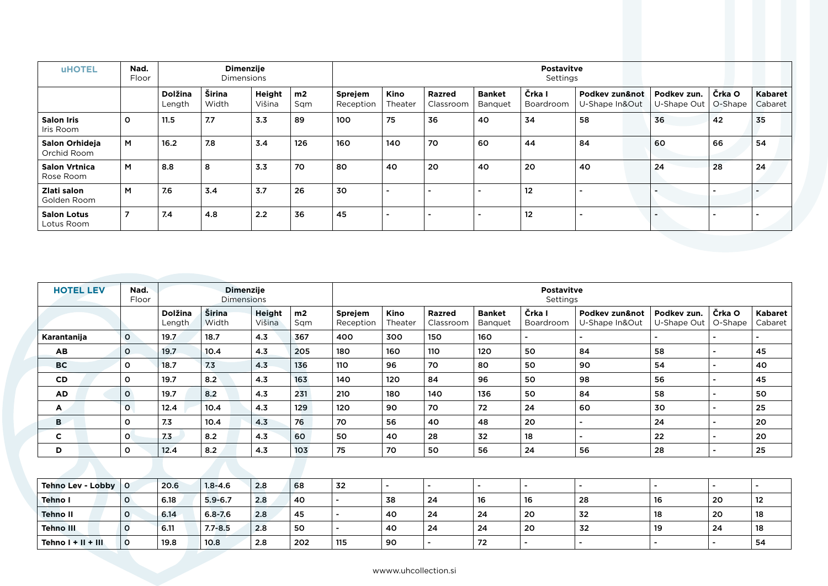| <b>UHOTEL</b>                     | Nad.<br>Floor |                          | <b>Dimenzije</b><br><b>Dimensions</b> |                  |                       | <b>Postavitve</b><br>Settings |                          |                     |                          |                     |                               |                            |                   |                    |
|-----------------------------------|---------------|--------------------------|---------------------------------------|------------------|-----------------------|-------------------------------|--------------------------|---------------------|--------------------------|---------------------|-------------------------------|----------------------------|-------------------|--------------------|
|                                   |               | <b>Dolžina</b><br>Length | Širina<br>Width                       | Height<br>Višina | m <sub>2</sub><br>Sqm | Sprejem<br>Reception          | <b>Kino</b><br>Theater   | Razred<br>Classroom | <b>Banket</b><br>Banquet | Črka I<br>Boardroom | Podkey zun¬<br>U-Shape In&Out | Podkey zun.<br>U-Shape Out | Črka O<br>O-Shape | Kabaret<br>Cabaret |
| <b>Salon Iris</b><br>Iris Room    | $\circ$       | 11.5                     | 7.7                                   | 3.3              | 89                    | 100                           | 75                       | 36                  | 40                       | 34                  | 58                            | 36                         | 42                | 35                 |
| Salon Orhideja<br>Orchid Room     | M             | 16.2                     | 7.8                                   | 3.4              | 126                   | 160                           | 140                      | 70                  | 60                       | 44                  | 84                            | 60                         | 66                | 54                 |
| <b>Salon Vrtnica</b><br>Rose Room | M             | 8.8                      | 8                                     | 3.3              | 70                    | 80                            | 40                       | 20                  | 40                       | 20                  | 40                            | 24                         | 28                | 24                 |
| Zlati salon<br>Golden Room        | M             | 7.6                      | 3.4                                   | 3.7              | 26                    | 30                            |                          |                     |                          | 12                  |                               |                            |                   |                    |
| <b>Salon Lotus</b><br>Lotus Room  | 7             | 7.4                      | 4.8                                   | 2.2              | 36                    | 45                            | $\overline{\phantom{0}}$ |                     |                          | 12                  |                               |                            |                   |                    |

| <b>HOTEL LEV</b>  | Nad.<br>Floor |                          | <b>Dimenzije</b><br><b>Dimensions</b> |                         |           | <b>Postavitve</b><br>Settings |                 |                     |                          |                     |                               |                            |                          |                           |
|-------------------|---------------|--------------------------|---------------------------------------|-------------------------|-----------|-------------------------------|-----------------|---------------------|--------------------------|---------------------|-------------------------------|----------------------------|--------------------------|---------------------------|
|                   |               | <b>Dolžina</b><br>Length | Širina<br>Width                       | <b>Height</b><br>Višina | m2<br>Sqm | Sprejem<br>Reception          | Kino<br>Theater | Razred<br>Classroom | <b>Banket</b><br>Banquet | Črka I<br>Boardroom | Podkey zun¬<br>U-Shape In&Out | Podkev zun.<br>U-Shape Out | Črka O<br>O-Shape        | <b>Kabaret</b><br>Cabaret |
| Karantanija       | $\mathsf{o}$  | 19.7                     | 18.7                                  | 4.3                     | 367       | 400                           | 300             | 150                 | 160                      | ۰.                  |                               |                            |                          |                           |
| AB                | $\mathbf{O}$  | 19.7                     | 10.4                                  | 4.3                     | 205       | 180                           | 160             | 110                 | 120                      | 50                  | 84                            | 58                         |                          | 45                        |
| <b>BC</b>         | O             | 18.7                     | 7.3                                   | 4.3                     | 136       | 110                           | 96              | 70                  | 80                       | 50                  | 90                            | 54                         |                          | 40                        |
| <b>CD</b>         | O             | 19.7                     | 8.2                                   | 4.3                     | 163       | 140                           | 120             | 84                  | 96                       | 50                  | 98                            | 56                         |                          | 45                        |
| <b>AD</b>         | $\mathsf{o}$  | 19.7                     | 8.2                                   | 4.3                     | 231       | 210                           | 180             | 140                 | 136                      | 50                  | 84                            | 58                         |                          | 50                        |
| A                 | $\mathbf{O}$  | 12.4                     | 10.4                                  | 4.3                     | 129       | 120                           | 90              | 70                  | 72                       | 24                  | 60                            | 30                         |                          | 25                        |
| B                 | O             | 7.3                      | 10.4                                  | 4.3                     | 76        | 70                            | 56              | 40                  | 48                       | 20                  |                               | 24                         |                          | 20                        |
| C                 | 0             | 7.3                      | 8.2                                   | 4.3                     | 60        | 50                            | 40              | 28                  | 32                       | 18                  |                               | 22                         |                          | 20                        |
| D                 | $\circ$       | 12.4                     | 8.2                                   | 4.3                     | 103       | 75                            | 70              | 50                  | 56                       | 24                  | 56                            | 28                         |                          | 25                        |
|                   |               |                          |                                       |                         |           |                               |                 |                     |                          |                     |                               |                            |                          |                           |
| Tehno Lev - Lobby | $\circ$       | 20.6                     | $1.8 - 4.6$                           | 2.8                     | 68        | 32                            | $\sim$          | $\sim$              |                          | $\sim$              | $\blacksquare$                |                            | $\overline{\phantom{0}}$ |                           |
| <b>Tehno I</b>    | $\circ$       | 6.18                     | $5.9 - 6.7$                           | 2.8                     | 40        | $\blacksquare$                | 38              | 24                  | 16                       | 16                  | 28                            | 16                         | 20                       | 12                        |
| <b>Tehno II</b>   | $\circ$       | 6.14                     | $6.8 - 7.6$                           | 2.8                     | 45        | $\overline{\phantom{0}}$      | 40              | 24                  | 24                       | 20                  | 32                            | 18                         | 20                       | 18                        |
| <b>Tehno III</b>  | $\mathbf{o}$  | 6.11                     | $7.7 - 8.5$                           | 2.8                     | 50        |                               | 40              | 24                  | 24                       | 20                  | 32                            | 19                         | 24                       | 18                        |
| Tehno   +    +    | $\mathbf{o}$  | 19.8                     | 10.8                                  | 2.8                     | 202       | 115                           | 90              |                     | 72                       |                     |                               |                            |                          | 54                        |